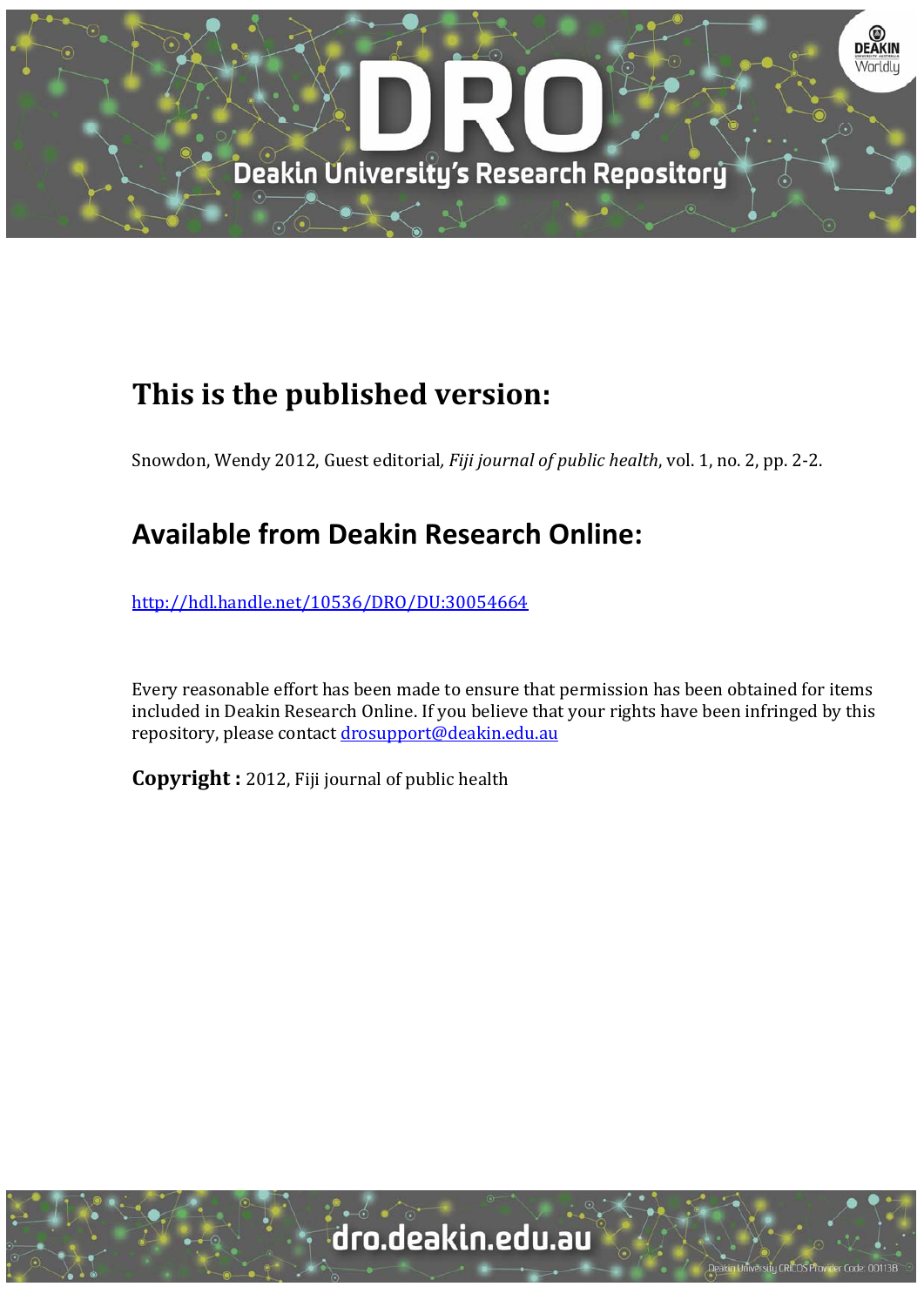

## **This is the published version:**

Snowdon, Wendy 2012, Guest editorial, *Fiji journal of public health*, vol. 1, no. 2, pp. 2-2.

## **Available from Deakin Research Online:**

http://hdl.handle.net/10536/DRO/DU:30054664

Every reasonable effort has been made to ensure that permission has been obtained for items included in Deakin Research Online. If you believe that your rights have been infringed by this repository, please contact drosupport@deakin.edu.au

**Copyright** : 2012, Fiji journal of public health